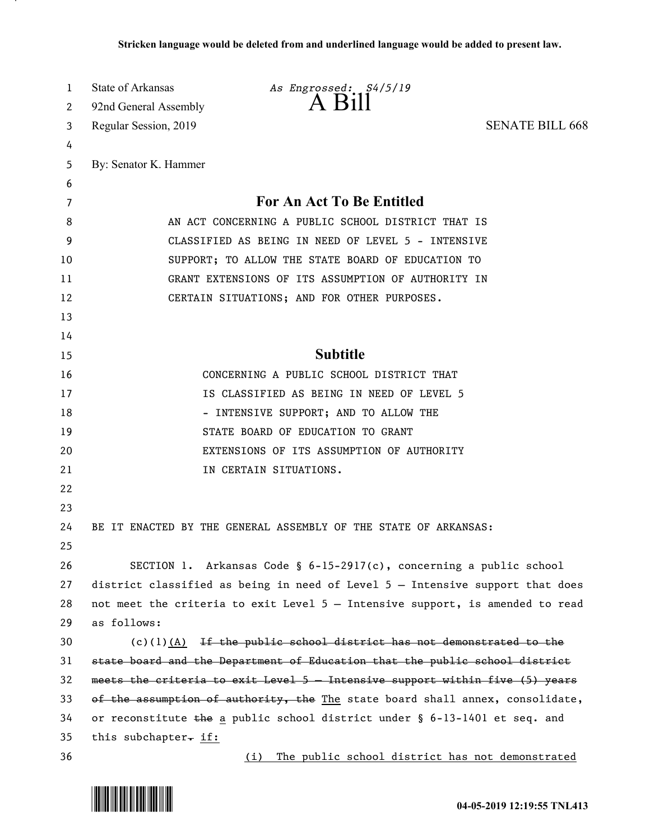| 1      | State of Arkansas                                                                                        | As Engrossed: \$4/5/19<br>A Bill                                              |                        |
|--------|----------------------------------------------------------------------------------------------------------|-------------------------------------------------------------------------------|------------------------|
| 2      | 92nd General Assembly                                                                                    |                                                                               |                        |
| 3      | Regular Session, 2019                                                                                    |                                                                               | <b>SENATE BILL 668</b> |
| 4      |                                                                                                          |                                                                               |                        |
| 5      | By: Senator K. Hammer                                                                                    |                                                                               |                        |
| 6      |                                                                                                          | For An Act To Be Entitled                                                     |                        |
| 7<br>8 |                                                                                                          |                                                                               |                        |
| 9      | AN ACT CONCERNING A PUBLIC SCHOOL DISTRICT THAT IS<br>CLASSIFIED AS BEING IN NEED OF LEVEL 5 - INTENSIVE |                                                                               |                        |
| 10     | SUPPORT; TO ALLOW THE STATE BOARD OF EDUCATION TO                                                        |                                                                               |                        |
| 11     | GRANT EXTENSIONS OF ITS ASSUMPTION OF AUTHORITY IN                                                       |                                                                               |                        |
| 12     |                                                                                                          | CERTAIN SITUATIONS; AND FOR OTHER PURPOSES.                                   |                        |
| 13     |                                                                                                          |                                                                               |                        |
| 14     |                                                                                                          |                                                                               |                        |
| 15     |                                                                                                          | <b>Subtitle</b>                                                               |                        |
| 16     |                                                                                                          | CONCERNING A PUBLIC SCHOOL DISTRICT THAT                                      |                        |
| 17     |                                                                                                          | IS CLASSIFIED AS BEING IN NEED OF LEVEL 5                                     |                        |
| 18     |                                                                                                          | - INTENSIVE SUPPORT; AND TO ALLOW THE                                         |                        |
| 19     |                                                                                                          | STATE BOARD OF EDUCATION TO GRANT                                             |                        |
| 20     |                                                                                                          | EXTENSIONS OF ITS ASSUMPTION OF AUTHORITY                                     |                        |
| 21     |                                                                                                          | IN CERTAIN SITUATIONS.                                                        |                        |
| 22     |                                                                                                          |                                                                               |                        |
| 23     |                                                                                                          |                                                                               |                        |
| 24     |                                                                                                          | BE IT ENACTED BY THE GENERAL ASSEMBLY OF THE STATE OF ARKANSAS:               |                        |
| 25     |                                                                                                          |                                                                               |                        |
| 26     |                                                                                                          | SECTION 1. Arkansas Code § $6-15-2917(c)$ , concerning a public school        |                        |
| 27     |                                                                                                          | district classified as being in need of Level 5 - Intensive support that does |                        |
| 28     |                                                                                                          | not meet the criteria to exit Level 5 - Intensive support, is amended to read |                        |
| 29     | as follows:                                                                                              |                                                                               |                        |
| 30     |                                                                                                          | $(c)(1)$ $(A)$ If the public school district has not demonstrated to the      |                        |
| 31     | state board and the Department of Education that the public school district                              |                                                                               |                        |
| 32     | meets the criteria to exit Level 5 - Intensive support within five (5) years                             |                                                                               |                        |
| 33     |                                                                                                          | of the assumption of authority, the The state board shall annex, consolidate, |                        |
| 34     | or reconstitute the a public school district under $\S$ 6-13-1401 et seq. and                            |                                                                               |                        |
| 35     | this subchapter. if:                                                                                     |                                                                               |                        |
| 36     |                                                                                                          | The public school district has not demonstrated<br>(i)                        |                        |